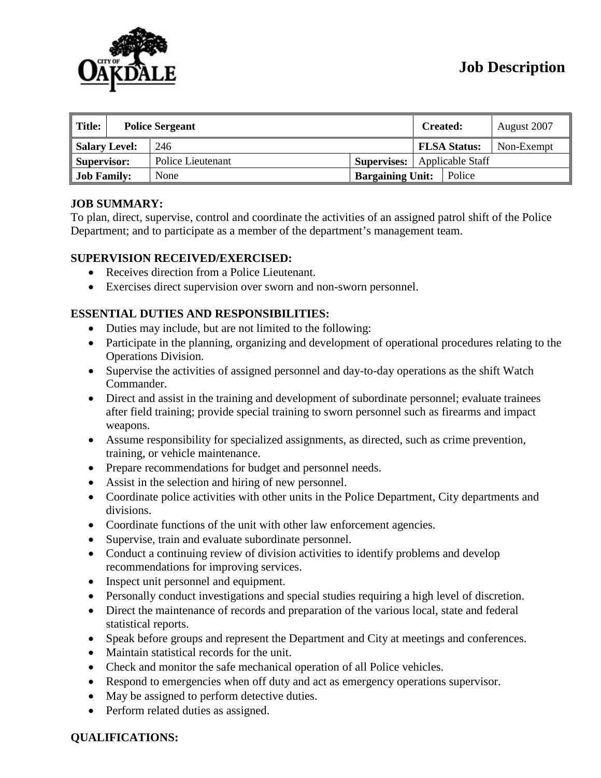

| $\parallel$ Title:<br><b>Police Sergeant</b> |  |                   | <b>Created:</b>         |                  | August 2007         |            |
|----------------------------------------------|--|-------------------|-------------------------|------------------|---------------------|------------|
| Salary Level:                                |  | 246               |                         |                  | <b>FLSA Status:</b> | Non-Exempt |
| Supervisor:                                  |  | Police Lieutenant | <b>Supervises:</b>      | Applicable Staff |                     |            |
| <b>Job Family:</b>                           |  | None              | <b>Bargaining Unit:</b> |                  | Police              |            |

# **JOB SUMMARY:**

To plan, direct, supervise, control and coordinate the activities of an assigned patrol shift of the Police Department; and to participate as a member of the department's management team.

### **SUPERVISION RECEIVED/EXERCISED:**

- Receives direction from a Police Lieutenant.
- Exercises direct supervision over sworn and non-sworn personnel.

### **ESSENTIAL DUTIES AND RESPONSIBILITIES:**

- Duties may include, but are not limited to the following:
- Participate in the planning, organizing and development of operational procedures relating to the Operations Division.
- Supervise the activities of assigned personnel and day-to-day operations as the shift Watch Commander.
- Direct and assist in the training and development of subordinate personnel; evaluate trainees after field training; provide special training to sworn personnel such as firearms and impact weapons.
- Assume responsibility for specialized assignments, as directed, such as crime prevention, training, or vehicle maintenance.
- Prepare recommendations for budget and personnel needs.
- Assist in the selection and hiring of new personnel.
- Coordinate police activities with other units in the Police Department, City departments and divisions.
- Coordinate functions of the unit with other law enforcement agencies.
- Supervise, train and evaluate subordinate personnel.
- Conduct a continuing review of division activities to identify problems and develop recommendations for improving services.
- Inspect unit personnel and equipment.
- Personally conduct investigations and special studies requiring a high level of discretion.
- Direct the maintenance of records and preparation of the various local, state and federal statistical reports.
- Speak before groups and represent the Department and City at meetings and conferences.
- Maintain statistical records for the unit.
- Check and monitor the safe mechanical operation of all Police vehicles.
- Respond to emergencies when off duty and act as emergency operations supervisor.
- May be assigned to perform detective duties.
- Perform related duties as assigned.

### **QUALIFICATIONS:**